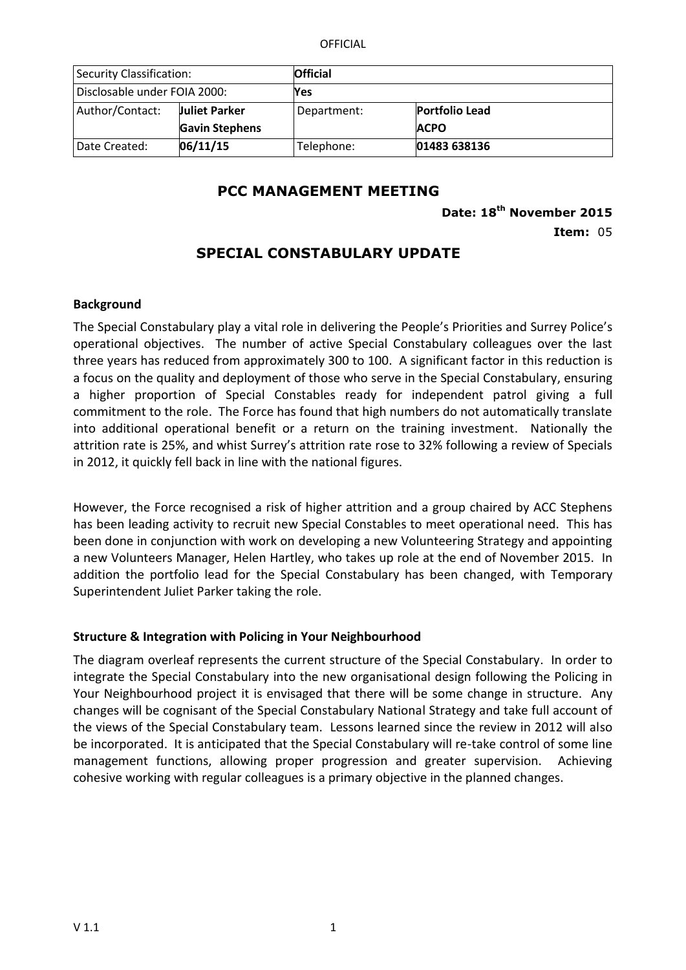OFFICIAL

| <b>Security Classification:</b> |                       | <b>Official</b> |                       |
|---------------------------------|-----------------------|-----------------|-----------------------|
| Disclosable under FOIA 2000:    |                       | Yes             |                       |
| Author/Contact:                 | <b>Juliet Parker</b>  | Department:     | <b>Portfolio Lead</b> |
|                                 | <b>Gavin Stephens</b> |                 | <b>ACPO</b>           |
| Date Created:                   | 06/11/15              | Telephone:      | 01483 638136          |

### **PCC MANAGEMENT MEETING**

**Date: 18th November 2015**

**Item:** 05

## **SPECIAL CONSTABULARY UPDATE**

#### **Background**

The Special Constabulary play a vital role in delivering the People's Priorities and Surrey Police's operational objectives. The number of active Special Constabulary colleagues over the last three years has reduced from approximately 300 to 100. A significant factor in this reduction is a focus on the quality and deployment of those who serve in the Special Constabulary, ensuring a higher proportion of Special Constables ready for independent patrol giving a full commitment to the role. The Force has found that high numbers do not automatically translate into additional operational benefit or a return on the training investment. Nationally the attrition rate is 25%, and whist Surrey's attrition rate rose to 32% following a review of Specials in 2012, it quickly fell back in line with the national figures.

However, the Force recognised a risk of higher attrition and a group chaired by ACC Stephens has been leading activity to recruit new Special Constables to meet operational need. This has been done in conjunction with work on developing a new Volunteering Strategy and appointing a new Volunteers Manager, Helen Hartley, who takes up role at the end of November 2015. In addition the portfolio lead for the Special Constabulary has been changed, with Temporary Superintendent Juliet Parker taking the role.

### **Structure & Integration with Policing in Your Neighbourhood**

The diagram overleaf represents the current structure of the Special Constabulary. In order to integrate the Special Constabulary into the new organisational design following the Policing in Your Neighbourhood project it is envisaged that there will be some change in structure. Any changes will be cognisant of the Special Constabulary National Strategy and take full account of the views of the Special Constabulary team. Lessons learned since the review in 2012 will also be incorporated. It is anticipated that the Special Constabulary will re-take control of some line management functions, allowing proper progression and greater supervision. Achieving cohesive working with regular colleagues is a primary objective in the planned changes.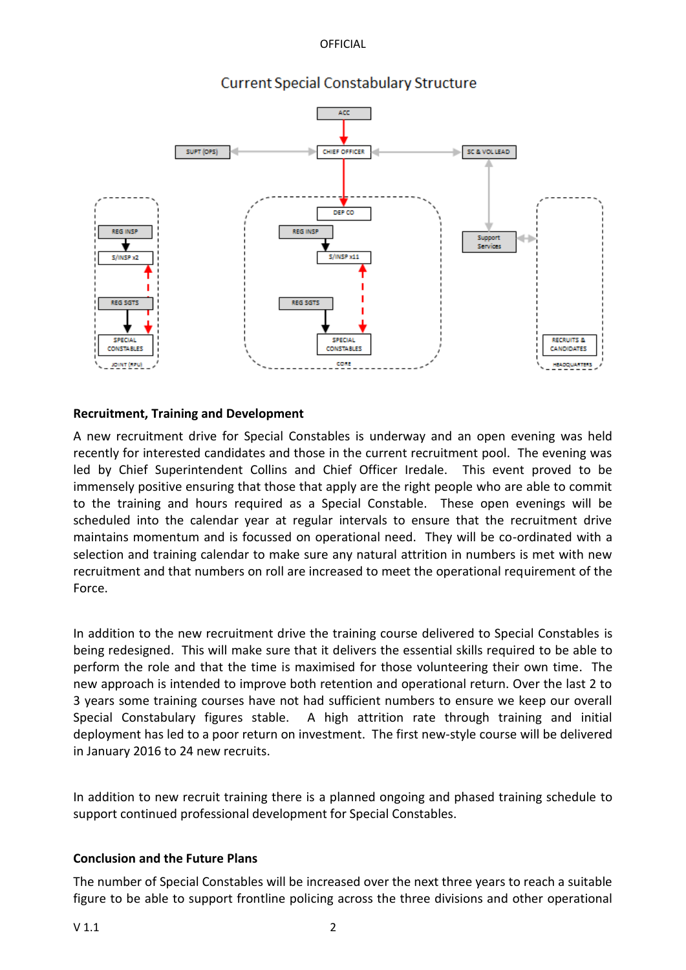OFFICIAL



# **Current Special Constabulary Structure**

### **Recruitment, Training and Development**

A new recruitment drive for Special Constables is underway and an open evening was held recently for interested candidates and those in the current recruitment pool. The evening was led by Chief Superintendent Collins and Chief Officer Iredale. This event proved to be immensely positive ensuring that those that apply are the right people who are able to commit to the training and hours required as a Special Constable. These open evenings will be scheduled into the calendar year at regular intervals to ensure that the recruitment drive maintains momentum and is focussed on operational need. They will be co-ordinated with a selection and training calendar to make sure any natural attrition in numbers is met with new recruitment and that numbers on roll are increased to meet the operational requirement of the Force.

In addition to the new recruitment drive the training course delivered to Special Constables is being redesigned. This will make sure that it delivers the essential skills required to be able to perform the role and that the time is maximised for those volunteering their own time. The new approach is intended to improve both retention and operational return. Over the last 2 to 3 years some training courses have not had sufficient numbers to ensure we keep our overall Special Constabulary figures stable. A high attrition rate through training and initial deployment has led to a poor return on investment. The first new-style course will be delivered in January 2016 to 24 new recruits.

In addition to new recruit training there is a planned ongoing and phased training schedule to support continued professional development for Special Constables.

### **Conclusion and the Future Plans**

The number of Special Constables will be increased over the next three years to reach a suitable figure to be able to support frontline policing across the three divisions and other operational